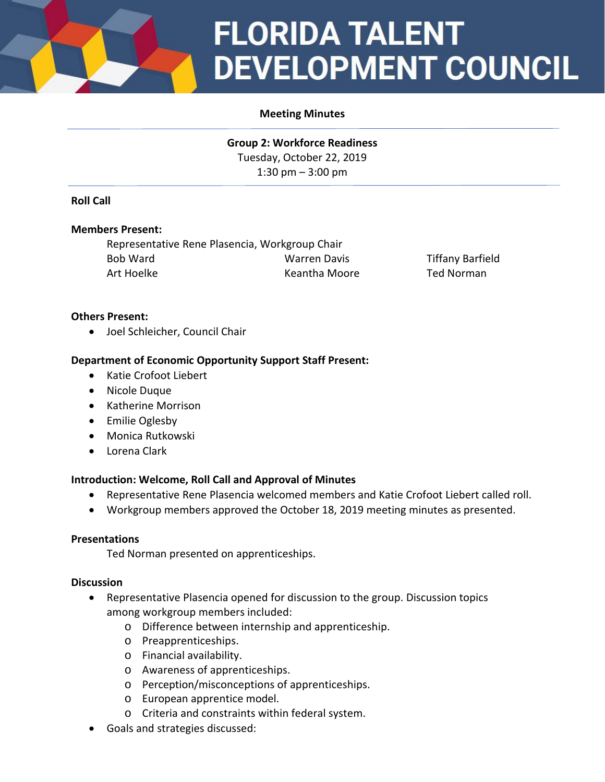

# **FLORIDA TALENT DEVELOPMENT COUNCIL**

# **Meeting Minutes**

**Group 2: Workforce Readiness** Tuesday, October 22, 2019 1:30 pm – 3:00 pm

## **Roll Call**

#### **Members Present:**

Representative Rene Plasencia, Workgroup Chair Bob Ward Warren Davis Tiffany Barfield Art Hoelke **Keantha Moore** Ted Norman

#### **Others Present:**

• Joel Schleicher, Council Chair

## **Department of Economic Opportunity Support Staff Present:**

- Katie Crofoot Liebert
- Nicole Duque
- Katherine Morrison
- Emilie Oglesby
- Monica Rutkowski
- Lorena Clark

#### **Introduction: Welcome, Roll Call and Approval of Minutes**

- Representative Rene Plasencia welcomed members and Katie Crofoot Liebert called roll.
- Workgroup members approved the October 18, 2019 meeting minutes as presented.

#### **Presentations**

Ted Norman presented on apprenticeships.

#### **Discussion**

- Representative Plasencia opened for discussion to the group. Discussion topics among workgroup members included:
	- o Difference between internship and apprenticeship.
	- o Preapprenticeships.
	- o Financial availability.
	- o Awareness of apprenticeships.
	- o Perception/misconceptions of apprenticeships.
	- o European apprentice model.
	- o Criteria and constraints within federal system.
- Goals and strategies discussed: